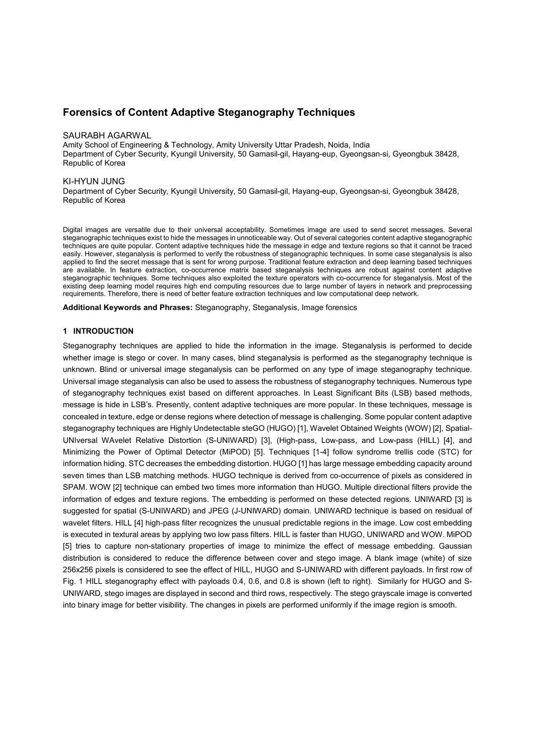# **Forensics of Content Adaptive Steganography Techniques**

#### SAURABH AGARWAL

Amity School of Engineering & Technology, Amity University Uttar Pradesh, Noida, India Department of Cyber Security, Kyungil University, 50 Gamasil-gil, Hayang-eup, Gyeongsan-si, Gyeongbuk 38428, Republic of Korea

#### KI-HYUN JUNG

Department of Cyber Security, Kyungil University, 50 Gamasil-gil, Hayang-eup, Gyeongsan-si, Gyeongbuk 38428, Republic of Korea

Digital images are versatile due to their universal acceptability. Sometimes image are used to send secret messages. Several steganographic techniques exist to hide the messages in unnoticeable way. Out of several categories content adaptive steganographic techniques are quite popular. Content adaptive techniques hide the message in edge and texture regions so that it cannot be traced easily. However, steganalysis is performed to verify the robustness of steganographic techniques. In some case steganalysis is also applied to find the secret message that is sent for wrong purpose. Traditional feature extraction and deep learning based techniques are available. In feature extraction, co-occurrence matrix based steganalysis techniques are robust against content adaptive steganographic techniques. Some techniques also exploited the texture operators with co-occurrence for steganalysis. Most of the existing deep learning model requires high end computing resources due to large number of layers in network and preprocessing requirements. Therefore, there is need of better feature extraction techniques and low computational deep network.

**Additional Keywords and Phrases:** Steganography, Steganalysis, Image forensics

### **1 INTRODUCTION**

Steganography techniques are applied to hide the information in the image. Steganalysis is performed to decide whether image is stego or cover. In many cases, blind steganalysis is performed as the steganography technique is unknown. Blind or universal image steganalysis can be performed on any type of image steganography technique. Universal image steganalysis can also be used to assess the robustness of steganography techniques. Numerous type of steganography techniques exist based on different approaches. In Least Significant Bits (LSB) based methods, message is hide in LSB's. Presently, content adaptive techniques are more popular. In these techniques, message is concealed in texture, edge or dense regions where detection of message is challenging. Some popular content adaptive steganography techniques are Highly Undetectable steGO (HUGO) [1], Wavelet Obtained Weights (WOW) [2], Spatial- UNIversal WAvelet Relative Distortion (S-UNIWARD) [3], (High-pass, Low-pass, and Low-pass (HILL) [4], and Minimizing the Power of Optimal Detector (MiPOD) [5]. Techniques [1-4] follow syndrome trellis code (STC) for information hiding. STC decreases the embedding distortion. HUGO [1] has large message embedding capacity around seven times than LSB matching methods. HUGO technique is derived from co-occurrence of pixels as considered in SPAM. WOW [2] technique can embed two times more information than HUGO. Multiple directional filters provide the information of edges and texture regions. The embedding is performed on these detected regions. UNIWARD [3] is suggested for spatial (S-UNIWARD) and JPEG (J-UNIWARD) domain. UNIWARD technique is based on residual of wavelet filters. HILL [4] high-pass filter recognizes the unusual predictable regions in the image. Low cost embedding is executed in textural areas by applying two low pass filters. HILL is faster than HUGO, UNIWARD and WOW. MiPOD [5] tries to capture non-stationary properties of image to minimize the effect of message embedding. Gaussian distribution is considered to reduce the difference between cover and stego image. A blank image (white) of size 256x256 pixels is considered to see the effect of HILL, HUGO and S-UNIWARD with different payloads. In first row of Fig. 1 HILL steganography effect with payloads 0.4, 0.6, and 0.8 is shown (left to right). Similarly for HUGO and S- UNIWARD, stego images are displayed in second and third rows, respectively. The stego grayscale image is converted into binary image for better visibility. The changes in pixels are performed uniformly if the image region is smooth.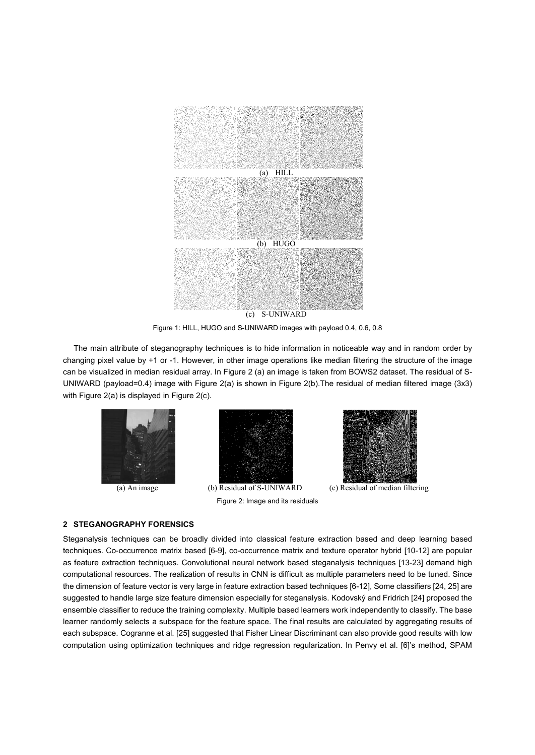

Figure 1: HILL, HUGO and S-UNIWARD images with payload 0.4, 0.6, 0.8

The main attribute of steganography techniques is to hide information in noticeable way and in random order by changing pixel value by +1 or -1. However, in other image operations like median filtering the structure of the image can be visualized in median residual array. In Figure 2 (a) an image is taken from BOWS2 dataset. The residual of S- UNIWARD (payload=0.4) image with Figure 2(a) is shown in Figure 2(b).The residual of median filtered image (3x3) with Figure 2(a) is displayed in Figure 2(c).





(a) An image (b) Residual of S-UNIWARD (c) Residual of median filtering Figure 2: Image and its residuals



#### **2 STEGANOGRAPHY FORENSICS**

Steganalysis techniques can be broadly divided into classical feature extraction based and deep learning based techniques. Co-occurrence matrix based [6-9], co-occurrence matrix and texture operator hybrid [10-12] are popular as feature extraction techniques. Convolutional neural network based steganalysis techniques [13-23] demand high computational resources. The realization of results in CNN is difficult as multiple parameters need to be tuned. Since the dimension of feature vector is very large in feature extraction based techniques [6-12], Some classifiers [24, 25] are suggested to handle large size feature dimension especially for steganalysis. Kodovský and Fridrich [24] proposed the ensemble classifier to reduce the training complexity. Multiple based learners work independently to classify. The base learner randomly selects a subspace for the feature space. The final results are calculated by aggregating results of each subspace. Cogranne et al. [25] suggested that Fisher Linear Discriminant can also provide good results with low computation using optimization techniques and ridge regression regularization. In Penvy et al. [6]'s method, SPAM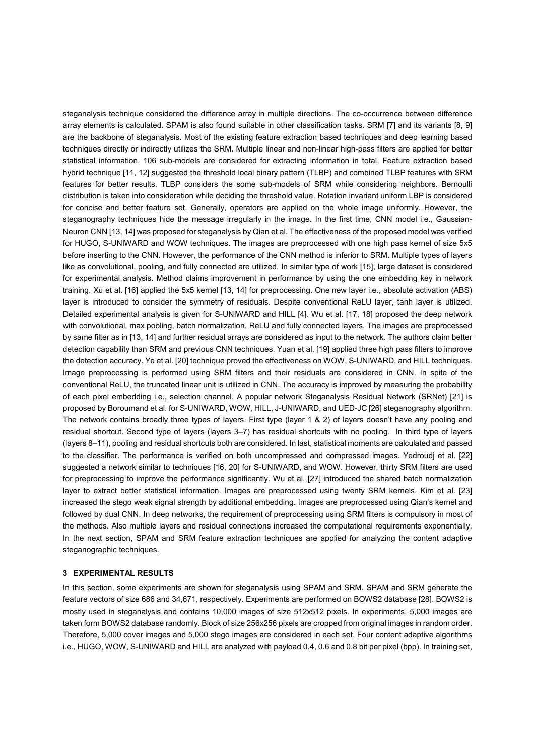steganalysis technique considered the difference array in multiple directions. The co-occurrence between difference array elements is calculated. SPAM is also found suitable in other classification tasks. SRM [7] and its variants [8, 9] are the backbone of steganalysis. Most of the existing feature extraction based techniques and deep learning based techniques directly or indirectly utilizes the SRM. Multiple linear and non-linear high-pass filters are applied for better statistical information. 106 sub-models are considered for extracting information in total. Feature extraction based hybrid technique [11, 12] suggested the threshold local binary pattern (TLBP) and combined TLBP features with SRM features for better results. TLBP considers the some sub-models of SRM while considering neighbors. Bernoulli distribution is taken into consideration while deciding the threshold value. Rotation invariant uniform LBP is considered for concise and better feature set. Generally, operators are applied on the whole image uniformly. However, the steganography techniques hide the message irregularly in the image. In the first time, CNN model i.e., Gaussian-Neuron CNN [13, 14] was proposed for steganalysis by Qian et al. The effectiveness of the proposed model was verified for HUGO, S-UNIWARD and WOW techniques. The images are preprocessed with one high pass kernel of size 5x5 before inserting to the CNN. However, the performance of the CNN method is inferior to SRM. Multiple types of layers like as convolutional, pooling, and fully connected are utilized. In similar type of work [15], large dataset is considered for experimental analysis. Method claims improvement in performance by using the one embedding key in network training. Xu et al. [16] applied the 5x5 kernel [13, 14] for preprocessing. One new layer i.e., absolute activation (ABS) layer is introduced to consider the symmetry of residuals. Despite conventional ReLU layer, tanh layer is utilized. Detailed experimental analysis is given for S-UNIWARD and HILL [4]. Wu et al. [17, 18] proposed the deep network with convolutional, max pooling, batch normalization, ReLU and fully connected layers. The images are preprocessed by same filter as in [13, 14] and further residual arrays are considered as input to the network. The authors claim better detection capability than SRM and previous CNN techniques. Yuan et al. [19] applied three high pass filters to improve the detection accuracy. Ye et al. [20] technique proved the effectiveness on WOW, S-UNIWARD, and HILL techniques. Image preprocessing is performed using SRM filters and their residuals are considered in CNN. In spite of the conventional ReLU, the truncated linear unit is utilized in CNN. The accuracy is improved by measuring the probability of each pixel embedding i.e., selection channel. A popular network Steganalysis Residual Network (SRNet) [21] is proposed by Boroumand et al. for S-UNIWARD, WOW, HILL, J-UNIWARD, and UED-JC [26] steganography algorithm. The network contains broadly three types of layers. First type (layer 1 & 2) of layers doesn't have any pooling and residual shortcut. Second type of layers (layers 3–7) has residual shortcuts with no pooling. In third type of layers (layers 8–11), pooling and residual shortcuts both are considered. In last, statistical moments are calculated and passed to the classifier. The performance is verified on both uncompressed and compressed images. Yedroudj et al. [22] suggested a network similar to techniques [16, 20] for S-UNIWARD, and WOW. However, thirty SRM filters are used for preprocessing to improve the performance significantly. Wu et al. [27] introduced the shared batch normalization layer to extract better statistical information. Images are preprocessed using twenty SRM kernels. Kim et al. [23] increased the stego weak signal strength by additional embedding. Images are preprocessed using Qian's kernel and followed by dual CNN. In deep networks, the requirement of preprocessing using SRM filters is compulsory in most of the methods. Also multiple layers and residual connections increased the computational requirements exponentially. In the next section, SPAM and SRM feature extraction techniques are applied for analyzing the content adaptive steganographic techniques.

## **3 EXPERIMENTAL RESULTS**

In this section, some experiments are shown for steganalysis using SPAM and SRM. SPAM and SRM generate the feature vectors of size 686 and 34,671, respectively. Experiments are performed on BOWS2 database [28]. BOWS2 is mostly used in steganalysis and contains 10,000 images of size 512x512 pixels. In experiments, 5,000 images are taken form BOWS2 database randomly. Block of size 256x256 pixels are cropped from original images in random order. Therefore, 5,000 cover images and 5,000 stego images are considered in each set. Four content adaptive algorithms i.e., HUGO, WOW, S-UNIWARD and HILL are analyzed with payload 0.4, 0.6 and 0.8 bit per pixel (bpp). In training set,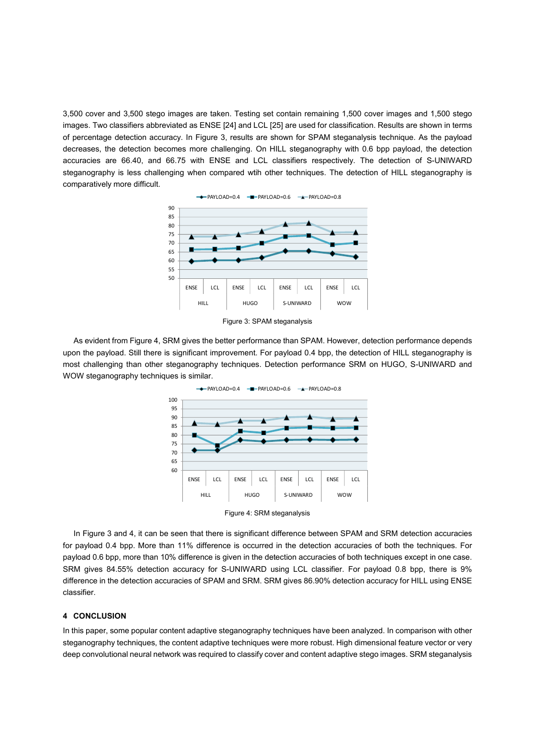3,500 cover and 3,500 stego images are taken. Testing set contain remaining 1,500 cover images and 1,500 stego images. Two classifiers abbreviated as ENSE [24] and LCL [25] are used for classification. Results are shown in terms of percentage detection accuracy. In Figure 3, results are shown for SPAM steganalysis technique. As the payload decreases, the detection becomes more challenging. On HILL steganography with 0.6 bpp payload, the detection accuracies are 66.40, and 66.75 with ENSE and LCL classifiers respectively. The detection of S-UNIWARD steganography is less challenging when compared wtih other techniques. The detection of HILL steganography is comparatively more difficult.



Figure 3: SPAM steganalysis

As evident from Figure 4, SRM gives the better performance than SPAM. However, detection performance depends upon the payload. Still there is significant improvement. For payload 0.4 bpp, the detection of HILL steganography is most challenging than other steganography techniques. Detection performance SRM on HUGO, S-UNIWARD and WOW steganography techniques is similar.





In Figure 3 and 4, it can be seen that there is significant difference between SPAM and SRM detection accuracies for payload 0.4 bpp. More than 11% difference is occurred in the detection accuracies of both the techniques. For payload 0.6 bpp, more than 10% difference is given in the detection accuracies of both techniques except in one case. SRM gives 84.55% detection accuracy for S-UNIWARD using LCL classifier. For payload 0.8 bpp, there is 9% difference in the detection accuracies of SPAM and SRM. SRM gives 86.90% detection accuracy for HILL using ENSE classifier.

### **4 CONCLUSION**

In this paper, some popular content adaptive steganography techniques have been analyzed. In comparison with other steganography techniques, the content adaptive techniques were more robust. High dimensional feature vector or very deep convolutional neural network was required to classify cover and content adaptive stego images. SRM steganalysis